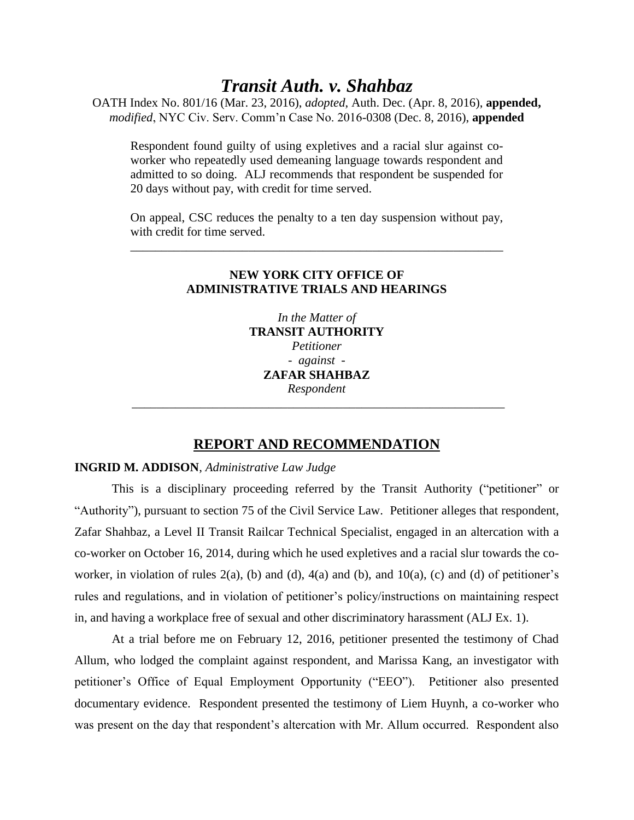# *Transit Auth. v. Shahbaz*

OATH Index No. 801/16 (Mar. 23, 2016), *adopted*, Auth. Dec. (Apr. 8, 2016), **appended,**  *modified*, NYC Civ. Serv. Comm'n Case No. 2016-0308 (Dec. 8, 2016), **appended**

Respondent found guilty of using expletives and a racial slur against coworker who repeatedly used demeaning language towards respondent and admitted to so doing. ALJ recommends that respondent be suspended for 20 days without pay, with credit for time served.

On appeal, CSC reduces the penalty to a ten day suspension without pay, with credit for time served.

\_\_\_\_\_\_\_\_\_\_\_\_\_\_\_\_\_\_\_\_\_\_\_\_\_\_\_\_\_\_\_\_\_\_\_\_\_\_\_\_\_\_\_\_\_\_\_\_\_\_\_\_\_\_\_\_\_\_\_\_

## **NEW YORK CITY OFFICE OF ADMINISTRATIVE TRIALS AND HEARINGS**

*In the Matter of* **TRANSIT AUTHORITY**  *Petitioner - against -* **ZAFAR SHAHBAZ** *Respondent* \_\_\_\_\_\_\_\_\_\_\_\_\_\_\_\_\_\_\_\_\_\_\_\_\_\_\_\_\_\_\_\_\_\_\_\_\_\_\_\_\_\_\_\_\_\_\_\_\_\_\_\_\_\_\_\_\_\_\_\_

# **REPORT AND RECOMMENDATION**

### **INGRID M. ADDISON**, *Administrative Law Judge*

This is a disciplinary proceeding referred by the Transit Authority ("petitioner" or "Authority"), pursuant to section 75 of the Civil Service Law. Petitioner alleges that respondent, Zafar Shahbaz, a Level II Transit Railcar Technical Specialist, engaged in an altercation with a co-worker on October 16, 2014, during which he used expletives and a racial slur towards the coworker, in violation of rules  $2(a)$ , (b) and (d),  $4(a)$  and (b), and  $10(a)$ , (c) and (d) of petitioner's rules and regulations, and in violation of petitioner's policy/instructions on maintaining respect in, and having a workplace free of sexual and other discriminatory harassment (ALJ Ex. 1).

At a trial before me on February 12, 2016, petitioner presented the testimony of Chad Allum, who lodged the complaint against respondent, and Marissa Kang, an investigator with petitioner's Office of Equal Employment Opportunity ("EEO"). Petitioner also presented documentary evidence. Respondent presented the testimony of Liem Huynh, a co-worker who was present on the day that respondent's altercation with Mr. Allum occurred. Respondent also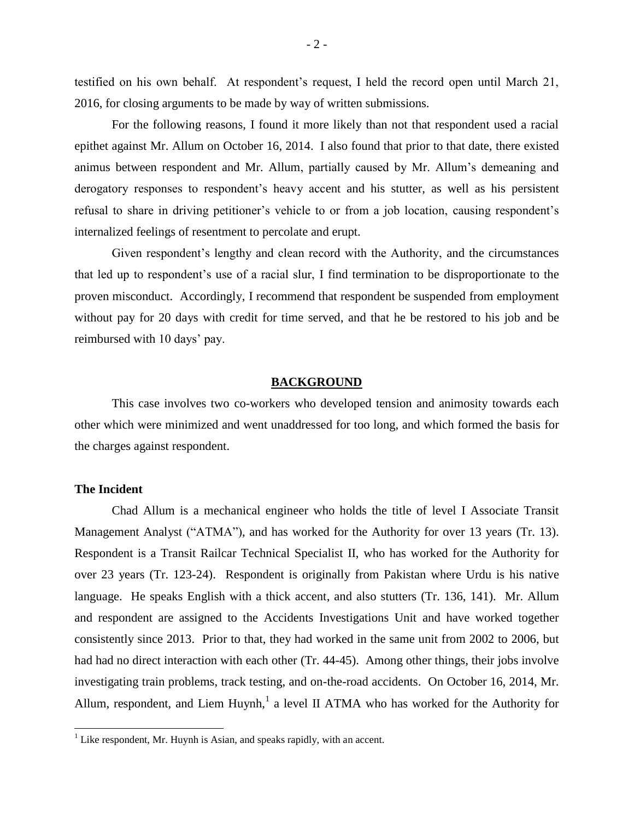testified on his own behalf. At respondent's request, I held the record open until March 21, 2016, for closing arguments to be made by way of written submissions.

For the following reasons, I found it more likely than not that respondent used a racial epithet against Mr. Allum on October 16, 2014. I also found that prior to that date, there existed animus between respondent and Mr. Allum, partially caused by Mr. Allum's demeaning and derogatory responses to respondent's heavy accent and his stutter, as well as his persistent refusal to share in driving petitioner's vehicle to or from a job location, causing respondent's internalized feelings of resentment to percolate and erupt.

Given respondent's lengthy and clean record with the Authority, and the circumstances that led up to respondent's use of a racial slur, I find termination to be disproportionate to the proven misconduct. Accordingly, I recommend that respondent be suspended from employment without pay for 20 days with credit for time served, and that he be restored to his job and be reimbursed with 10 days' pay.

#### **BACKGROUND**

This case involves two co-workers who developed tension and animosity towards each other which were minimized and went unaddressed for too long, and which formed the basis for the charges against respondent.

### **The Incident**

l

Chad Allum is a mechanical engineer who holds the title of level I Associate Transit Management Analyst ("ATMA"), and has worked for the Authority for over 13 years (Tr. 13). Respondent is a Transit Railcar Technical Specialist II, who has worked for the Authority for over 23 years (Tr. 123-24). Respondent is originally from Pakistan where Urdu is his native language. He speaks English with a thick accent, and also stutters (Tr. 136, 141). Mr. Allum and respondent are assigned to the Accidents Investigations Unit and have worked together consistently since 2013. Prior to that, they had worked in the same unit from 2002 to 2006, but had had no direct interaction with each other (Tr. 44-45). Among other things, their jobs involve investigating train problems, track testing, and on-the-road accidents. On October 16, 2014, Mr. Allum, respondent, and Liem Huynh,<sup>1</sup> a level II ATMA who has worked for the Authority for

 $<sup>1</sup>$  Like respondent, Mr. Huynh is Asian, and speaks rapidly, with an accent.</sup>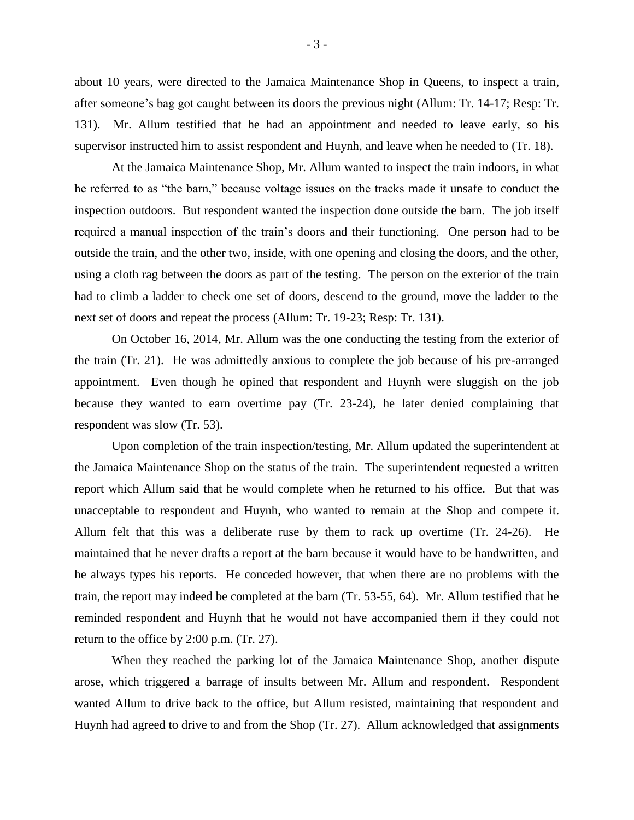about 10 years, were directed to the Jamaica Maintenance Shop in Queens, to inspect a train, after someone's bag got caught between its doors the previous night (Allum: Tr. 14-17; Resp: Tr. 131). Mr. Allum testified that he had an appointment and needed to leave early, so his supervisor instructed him to assist respondent and Huynh, and leave when he needed to (Tr. 18).

At the Jamaica Maintenance Shop, Mr. Allum wanted to inspect the train indoors, in what he referred to as "the barn," because voltage issues on the tracks made it unsafe to conduct the inspection outdoors. But respondent wanted the inspection done outside the barn. The job itself required a manual inspection of the train's doors and their functioning. One person had to be outside the train, and the other two, inside, with one opening and closing the doors, and the other, using a cloth rag between the doors as part of the testing. The person on the exterior of the train had to climb a ladder to check one set of doors, descend to the ground, move the ladder to the next set of doors and repeat the process (Allum: Tr. 19-23; Resp: Tr. 131).

On October 16, 2014, Mr. Allum was the one conducting the testing from the exterior of the train (Tr. 21). He was admittedly anxious to complete the job because of his pre-arranged appointment. Even though he opined that respondent and Huynh were sluggish on the job because they wanted to earn overtime pay (Tr. 23-24), he later denied complaining that respondent was slow (Tr. 53).

Upon completion of the train inspection/testing, Mr. Allum updated the superintendent at the Jamaica Maintenance Shop on the status of the train. The superintendent requested a written report which Allum said that he would complete when he returned to his office. But that was unacceptable to respondent and Huynh, who wanted to remain at the Shop and compete it. Allum felt that this was a deliberate ruse by them to rack up overtime (Tr. 24-26). He maintained that he never drafts a report at the barn because it would have to be handwritten, and he always types his reports. He conceded however, that when there are no problems with the train, the report may indeed be completed at the barn (Tr. 53-55, 64). Mr. Allum testified that he reminded respondent and Huynh that he would not have accompanied them if they could not return to the office by 2:00 p.m. (Tr. 27).

When they reached the parking lot of the Jamaica Maintenance Shop, another dispute arose, which triggered a barrage of insults between Mr. Allum and respondent. Respondent wanted Allum to drive back to the office, but Allum resisted, maintaining that respondent and Huynh had agreed to drive to and from the Shop (Tr. 27). Allum acknowledged that assignments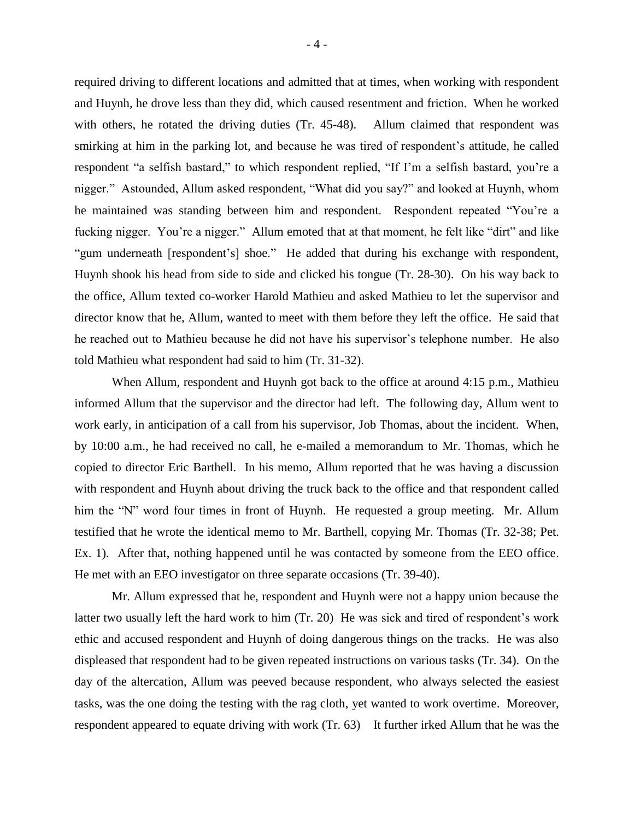required driving to different locations and admitted that at times, when working with respondent and Huynh, he drove less than they did, which caused resentment and friction. When he worked with others, he rotated the driving duties (Tr. 45-48). Allum claimed that respondent was smirking at him in the parking lot, and because he was tired of respondent's attitude, he called respondent "a selfish bastard," to which respondent replied, "If I'm a selfish bastard, you're a nigger." Astounded, Allum asked respondent, "What did you say?" and looked at Huynh, whom he maintained was standing between him and respondent. Respondent repeated "You're a fucking nigger. You're a nigger." Allum emoted that at that moment, he felt like "dirt" and like "gum underneath [respondent's] shoe." He added that during his exchange with respondent, Huynh shook his head from side to side and clicked his tongue (Tr. 28-30). On his way back to the office, Allum texted co-worker Harold Mathieu and asked Mathieu to let the supervisor and director know that he, Allum, wanted to meet with them before they left the office. He said that he reached out to Mathieu because he did not have his supervisor's telephone number. He also told Mathieu what respondent had said to him (Tr. 31-32).

When Allum, respondent and Huynh got back to the office at around 4:15 p.m., Mathieu informed Allum that the supervisor and the director had left. The following day, Allum went to work early, in anticipation of a call from his supervisor, Job Thomas, about the incident. When, by 10:00 a.m., he had received no call, he e-mailed a memorandum to Mr. Thomas, which he copied to director Eric Barthell. In his memo, Allum reported that he was having a discussion with respondent and Huynh about driving the truck back to the office and that respondent called him the "N" word four times in front of Huynh. He requested a group meeting. Mr. Allum testified that he wrote the identical memo to Mr. Barthell, copying Mr. Thomas (Tr. 32-38; Pet. Ex. 1). After that, nothing happened until he was contacted by someone from the EEO office. He met with an EEO investigator on three separate occasions (Tr. 39-40).

Mr. Allum expressed that he, respondent and Huynh were not a happy union because the latter two usually left the hard work to him (Tr. 20) He was sick and tired of respondent's work ethic and accused respondent and Huynh of doing dangerous things on the tracks. He was also displeased that respondent had to be given repeated instructions on various tasks (Tr. 34). On the day of the altercation, Allum was peeved because respondent, who always selected the easiest tasks, was the one doing the testing with the rag cloth, yet wanted to work overtime. Moreover, respondent appeared to equate driving with work (Tr. 63) It further irked Allum that he was the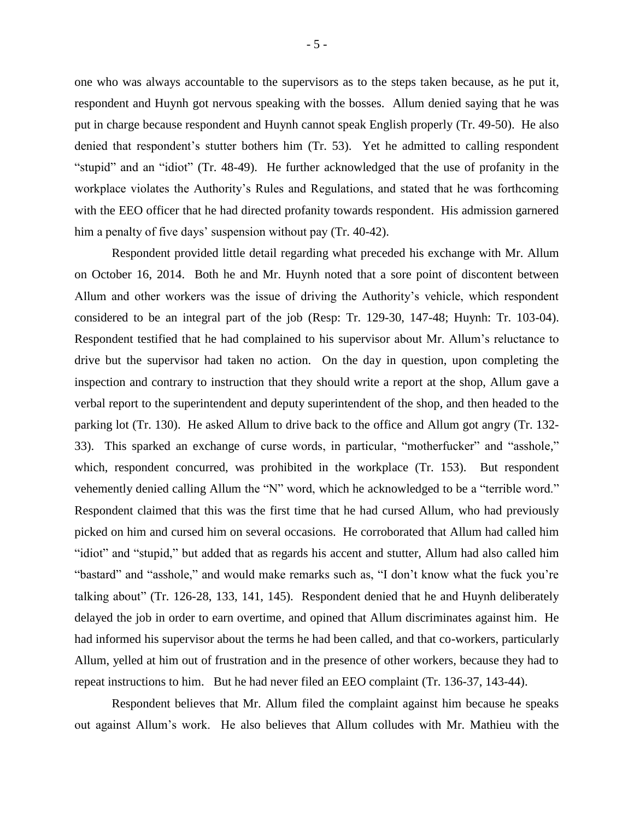one who was always accountable to the supervisors as to the steps taken because, as he put it, respondent and Huynh got nervous speaking with the bosses. Allum denied saying that he was put in charge because respondent and Huynh cannot speak English properly (Tr. 49-50). He also denied that respondent's stutter bothers him (Tr. 53). Yet he admitted to calling respondent "stupid" and an "idiot" (Tr. 48-49). He further acknowledged that the use of profanity in the workplace violates the Authority's Rules and Regulations, and stated that he was forthcoming with the EEO officer that he had directed profanity towards respondent. His admission garnered him a penalty of five days' suspension without pay (Tr. 40-42).

Respondent provided little detail regarding what preceded his exchange with Mr. Allum on October 16, 2014. Both he and Mr. Huynh noted that a sore point of discontent between Allum and other workers was the issue of driving the Authority's vehicle, which respondent considered to be an integral part of the job (Resp: Tr. 129-30, 147-48; Huynh: Tr. 103-04). Respondent testified that he had complained to his supervisor about Mr. Allum's reluctance to drive but the supervisor had taken no action. On the day in question, upon completing the inspection and contrary to instruction that they should write a report at the shop, Allum gave a verbal report to the superintendent and deputy superintendent of the shop, and then headed to the parking lot (Tr. 130). He asked Allum to drive back to the office and Allum got angry (Tr. 132- 33). This sparked an exchange of curse words, in particular, "motherfucker" and "asshole," which, respondent concurred, was prohibited in the workplace (Tr. 153). But respondent vehemently denied calling Allum the "N" word, which he acknowledged to be a "terrible word." Respondent claimed that this was the first time that he had cursed Allum, who had previously picked on him and cursed him on several occasions. He corroborated that Allum had called him "idiot" and "stupid," but added that as regards his accent and stutter, Allum had also called him "bastard" and "asshole," and would make remarks such as, "I don't know what the fuck you're talking about" (Tr. 126-28, 133, 141, 145). Respondent denied that he and Huynh deliberately delayed the job in order to earn overtime, and opined that Allum discriminates against him. He had informed his supervisor about the terms he had been called, and that co-workers, particularly Allum, yelled at him out of frustration and in the presence of other workers, because they had to repeat instructions to him. But he had never filed an EEO complaint (Tr. 136-37, 143-44).

Respondent believes that Mr. Allum filed the complaint against him because he speaks out against Allum's work. He also believes that Allum colludes with Mr. Mathieu with the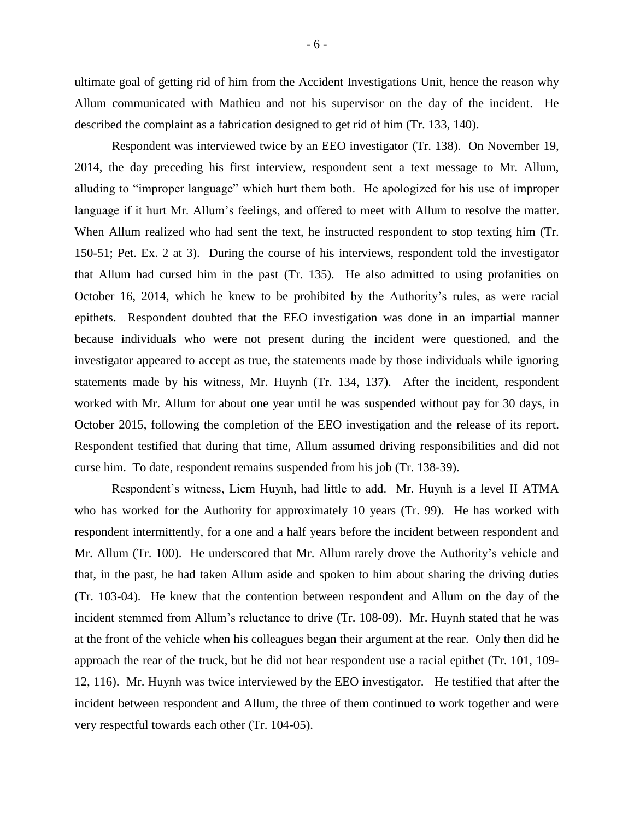ultimate goal of getting rid of him from the Accident Investigations Unit, hence the reason why Allum communicated with Mathieu and not his supervisor on the day of the incident. He described the complaint as a fabrication designed to get rid of him (Tr. 133, 140).

Respondent was interviewed twice by an EEO investigator (Tr. 138). On November 19, 2014, the day preceding his first interview, respondent sent a text message to Mr. Allum, alluding to "improper language" which hurt them both. He apologized for his use of improper language if it hurt Mr. Allum's feelings, and offered to meet with Allum to resolve the matter. When Allum realized who had sent the text, he instructed respondent to stop texting him (Tr. 150-51; Pet. Ex. 2 at 3). During the course of his interviews, respondent told the investigator that Allum had cursed him in the past (Tr. 135). He also admitted to using profanities on October 16, 2014, which he knew to be prohibited by the Authority's rules, as were racial epithets. Respondent doubted that the EEO investigation was done in an impartial manner because individuals who were not present during the incident were questioned, and the investigator appeared to accept as true, the statements made by those individuals while ignoring statements made by his witness, Mr. Huynh (Tr. 134, 137). After the incident, respondent worked with Mr. Allum for about one year until he was suspended without pay for 30 days, in October 2015, following the completion of the EEO investigation and the release of its report. Respondent testified that during that time, Allum assumed driving responsibilities and did not curse him. To date, respondent remains suspended from his job (Tr. 138-39).

Respondent's witness, Liem Huynh, had little to add. Mr. Huynh is a level II ATMA who has worked for the Authority for approximately 10 years (Tr. 99). He has worked with respondent intermittently, for a one and a half years before the incident between respondent and Mr. Allum (Tr. 100). He underscored that Mr. Allum rarely drove the Authority's vehicle and that, in the past, he had taken Allum aside and spoken to him about sharing the driving duties (Tr. 103-04). He knew that the contention between respondent and Allum on the day of the incident stemmed from Allum's reluctance to drive (Tr. 108-09). Mr. Huynh stated that he was at the front of the vehicle when his colleagues began their argument at the rear. Only then did he approach the rear of the truck, but he did not hear respondent use a racial epithet (Tr. 101, 109- 12, 116). Mr. Huynh was twice interviewed by the EEO investigator. He testified that after the incident between respondent and Allum, the three of them continued to work together and were very respectful towards each other (Tr. 104-05).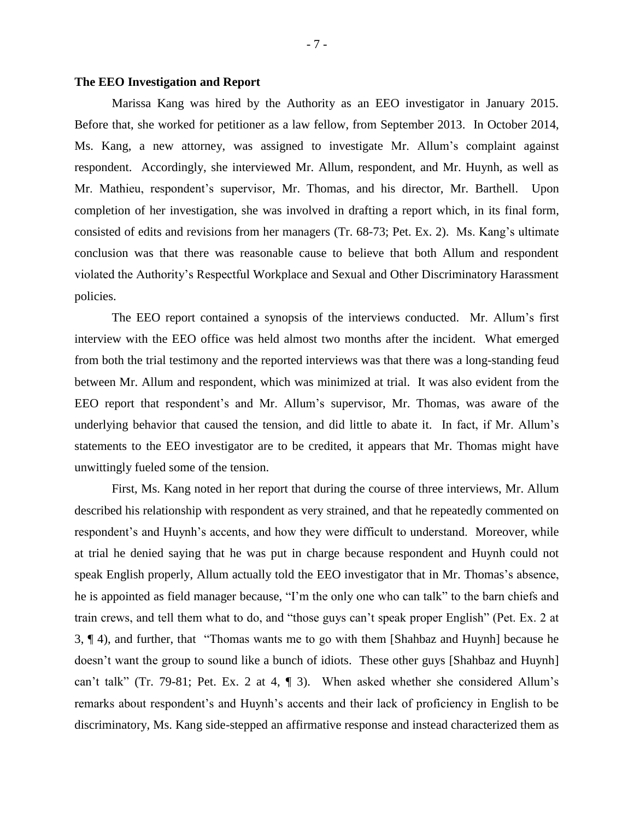### **The EEO Investigation and Report**

Marissa Kang was hired by the Authority as an EEO investigator in January 2015. Before that, she worked for petitioner as a law fellow, from September 2013. In October 2014, Ms. Kang, a new attorney, was assigned to investigate Mr. Allum's complaint against respondent. Accordingly, she interviewed Mr. Allum, respondent, and Mr. Huynh, as well as Mr. Mathieu, respondent's supervisor, Mr. Thomas, and his director, Mr. Barthell. Upon completion of her investigation, she was involved in drafting a report which, in its final form, consisted of edits and revisions from her managers (Tr. 68-73; Pet. Ex. 2). Ms. Kang's ultimate conclusion was that there was reasonable cause to believe that both Allum and respondent violated the Authority's Respectful Workplace and Sexual and Other Discriminatory Harassment policies.

The EEO report contained a synopsis of the interviews conducted. Mr. Allum's first interview with the EEO office was held almost two months after the incident. What emerged from both the trial testimony and the reported interviews was that there was a long-standing feud between Mr. Allum and respondent, which was minimized at trial. It was also evident from the EEO report that respondent's and Mr. Allum's supervisor, Mr. Thomas, was aware of the underlying behavior that caused the tension, and did little to abate it. In fact, if Mr. Allum's statements to the EEO investigator are to be credited, it appears that Mr. Thomas might have unwittingly fueled some of the tension.

First, Ms. Kang noted in her report that during the course of three interviews, Mr. Allum described his relationship with respondent as very strained, and that he repeatedly commented on respondent's and Huynh's accents, and how they were difficult to understand. Moreover, while at trial he denied saying that he was put in charge because respondent and Huynh could not speak English properly, Allum actually told the EEO investigator that in Mr. Thomas's absence, he is appointed as field manager because, "I'm the only one who can talk" to the barn chiefs and train crews, and tell them what to do, and "those guys can't speak proper English" (Pet. Ex. 2 at 3, ¶ 4), and further, that "Thomas wants me to go with them [Shahbaz and Huynh] because he doesn't want the group to sound like a bunch of idiots. These other guys [Shahbaz and Huynh] can't talk" (Tr. 79-81; Pet. Ex. 2 at 4, ¶ 3). When asked whether she considered Allum's remarks about respondent's and Huynh's accents and their lack of proficiency in English to be discriminatory, Ms. Kang side-stepped an affirmative response and instead characterized them as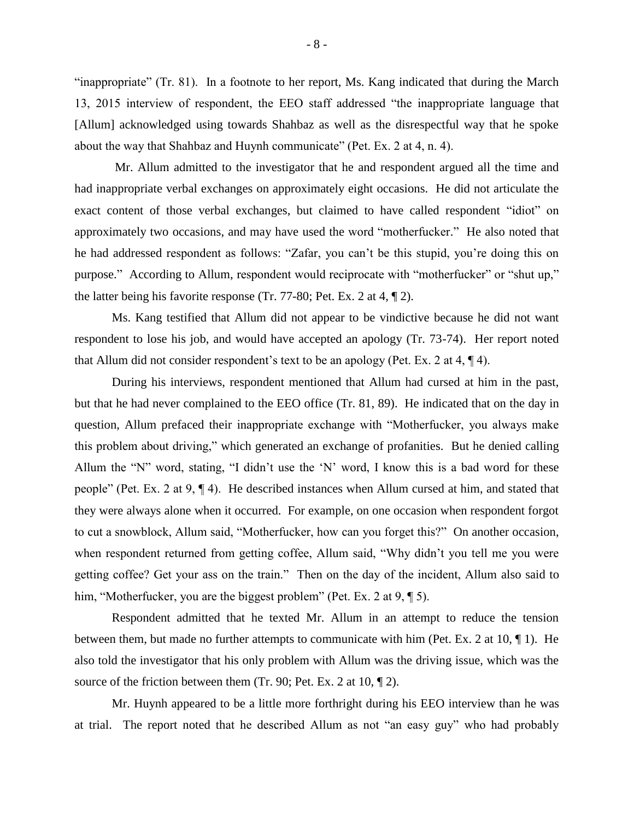"inappropriate" (Tr. 81). In a footnote to her report, Ms. Kang indicated that during the March 13, 2015 interview of respondent, the EEO staff addressed "the inappropriate language that [Allum] acknowledged using towards Shahbaz as well as the disrespectful way that he spoke about the way that Shahbaz and Huynh communicate" (Pet. Ex. 2 at 4, n. 4).

Mr. Allum admitted to the investigator that he and respondent argued all the time and had inappropriate verbal exchanges on approximately eight occasions. He did not articulate the exact content of those verbal exchanges, but claimed to have called respondent "idiot" on approximately two occasions, and may have used the word "motherfucker." He also noted that he had addressed respondent as follows: "Zafar, you can't be this stupid, you're doing this on purpose." According to Allum, respondent would reciprocate with "motherfucker" or "shut up," the latter being his favorite response (Tr. 77-80; Pet. Ex. 2 at 4, ¶ 2).

Ms. Kang testified that Allum did not appear to be vindictive because he did not want respondent to lose his job, and would have accepted an apology (Tr. 73-74). Her report noted that Allum did not consider respondent's text to be an apology (Pet. Ex. 2 at 4, ¶ 4).

During his interviews, respondent mentioned that Allum had cursed at him in the past, but that he had never complained to the EEO office (Tr. 81, 89). He indicated that on the day in question, Allum prefaced their inappropriate exchange with "Motherfucker, you always make this problem about driving," which generated an exchange of profanities. But he denied calling Allum the "N" word, stating, "I didn't use the 'N' word, I know this is a bad word for these people" (Pet. Ex. 2 at 9, ¶ 4). He described instances when Allum cursed at him, and stated that they were always alone when it occurred. For example, on one occasion when respondent forgot to cut a snowblock, Allum said, "Motherfucker, how can you forget this?" On another occasion, when respondent returned from getting coffee, Allum said, "Why didn't you tell me you were getting coffee? Get your ass on the train." Then on the day of the incident, Allum also said to him, "Motherfucker, you are the biggest problem" (Pet. Ex. 2 at 9, ¶ 5).

Respondent admitted that he texted Mr. Allum in an attempt to reduce the tension between them, but made no further attempts to communicate with him (Pet. Ex. 2 at 10, ¶ 1). He also told the investigator that his only problem with Allum was the driving issue, which was the source of the friction between them (Tr. 90; Pet. Ex. 2 at 10,  $\P$  2).

Mr. Huynh appeared to be a little more forthright during his EEO interview than he was at trial. The report noted that he described Allum as not "an easy guy" who had probably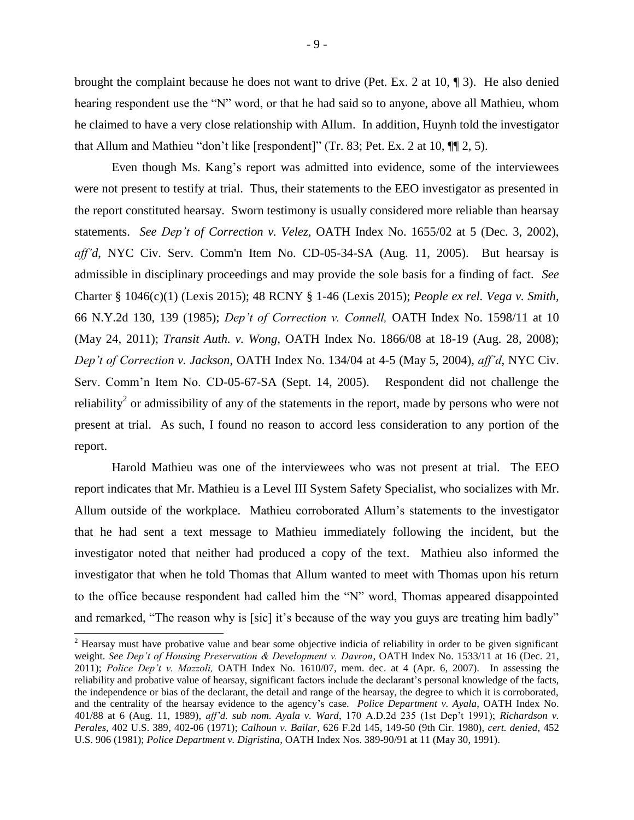brought the complaint because he does not want to drive (Pet. Ex. 2 at 10, ¶ 3). He also denied hearing respondent use the "N" word, or that he had said so to anyone, above all Mathieu, whom he claimed to have a very close relationship with Allum. In addition, Huynh told the investigator that Allum and Mathieu "don't like [respondent]" (Tr. 83; Pet. Ex. 2 at 10, ¶¶ 2, 5).

Even though Ms. Kang's report was admitted into evidence, some of the interviewees were not present to testify at trial. Thus, their statements to the EEO investigator as presented in the report constituted hearsay. Sworn testimony is usually considered more reliable than hearsay statements. *See Dep't of Correction v. Velez,* OATH Index No. 1655/02 at 5 (Dec. 3, 2002), *aff'd*, NYC Civ. Serv. Comm'n Item No. CD-05-34-SA (Aug. 11, 2005). But hearsay is admissible in disciplinary proceedings and may provide the sole basis for a finding of fact. *See*  Charter § 1046(c)(1) (Lexis 2015); 48 RCNY § 1-46 (Lexis 2015); *People ex rel. Vega v. Smith,*  66 N.Y.2d 130, 139 (1985); *Dep't of Correction v. Connell,* OATH Index No. 1598/11 at 10 (May 24, 2011); *Transit Auth. v. Wong,* OATH Index No. 1866/08 at 18-19 (Aug. 28, 2008); *Dep't of Correction v. Jackson*, OATH Index No. 134/04 at 4-5 (May 5, 2004), *aff'd*, NYC Civ. Serv. Comm'n Item No. CD-05-67-SA (Sept. 14, 2005). Respondent did not challenge the reliability<sup>2</sup> or admissibility of any of the statements in the report, made by persons who were not present at trial. As such, I found no reason to accord less consideration to any portion of the report.

Harold Mathieu was one of the interviewees who was not present at trial. The EEO report indicates that Mr. Mathieu is a Level III System Safety Specialist, who socializes with Mr. Allum outside of the workplace. Mathieu corroborated Allum's statements to the investigator that he had sent a text message to Mathieu immediately following the incident, but the investigator noted that neither had produced a copy of the text. Mathieu also informed the investigator that when he told Thomas that Allum wanted to meet with Thomas upon his return to the office because respondent had called him the "N" word, Thomas appeared disappointed and remarked, "The reason why is [sic] it's because of the way you guys are treating him badly"

l

 $2$  Hearsay must have probative value and bear some objective indicia of reliability in order to be given significant weight. *See Dep't of Housing Preservation & Development v. Davron*, OATH Index No. 1533/11 at 16 (Dec. 21, 2011); *Police Dep't v. Mazzoli,* OATH Index No. 1610/07, mem. dec. at 4 (Apr. 6, 2007). In assessing the reliability and probative value of hearsay, significant factors include the declarant's personal knowledge of the facts, the independence or bias of the declarant, the detail and range of the hearsay, the degree to which it is corroborated, and the centrality of the hearsay evidence to the agency's case. *Police Department v. Ayala*, OATH Index No. 401/88 at 6 (Aug. 11, 1989), *aff'd. sub nom. Ayala v. Ward*, 170 A.D.2d 235 (1st Dep't 1991); *Richardson v. Perales*, 402 U.S. 389, 402-06 (1971); *Calhoun v. Bailar*, 626 F.2d 145, 149-50 (9th Cir. 1980), *cert. denied,* 452 U.S. 906 (1981); *Police Department v. Digristina*, OATH Index Nos. 389-90/91 at 11 (May 30, 1991).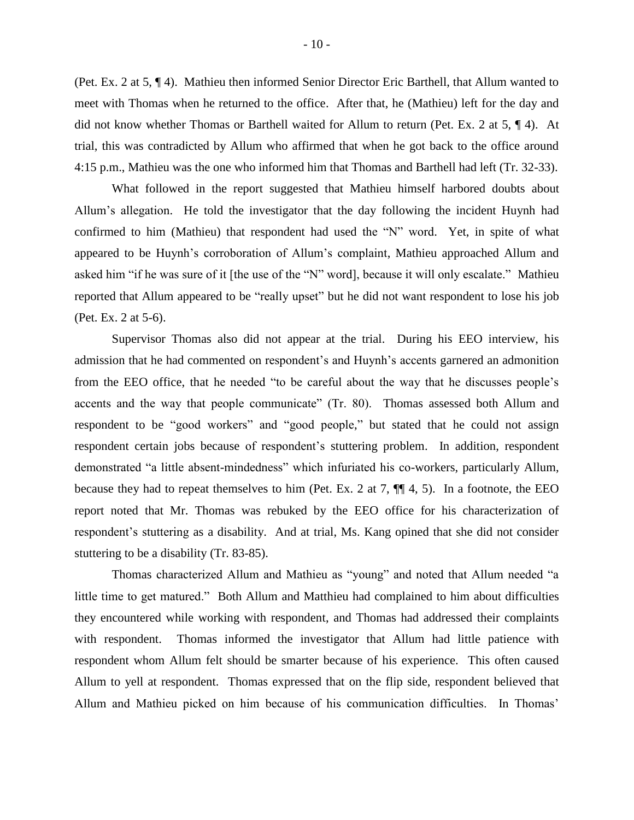(Pet. Ex. 2 at 5, ¶ 4). Mathieu then informed Senior Director Eric Barthell, that Allum wanted to meet with Thomas when he returned to the office. After that, he (Mathieu) left for the day and did not know whether Thomas or Barthell waited for Allum to return (Pet. Ex. 2 at 5, ¶ 4). At trial, this was contradicted by Allum who affirmed that when he got back to the office around 4:15 p.m., Mathieu was the one who informed him that Thomas and Barthell had left (Tr. 32-33).

What followed in the report suggested that Mathieu himself harbored doubts about Allum's allegation. He told the investigator that the day following the incident Huynh had confirmed to him (Mathieu) that respondent had used the "N" word. Yet, in spite of what appeared to be Huynh's corroboration of Allum's complaint, Mathieu approached Allum and asked him "if he was sure of it [the use of the "N" word], because it will only escalate." Mathieu reported that Allum appeared to be "really upset" but he did not want respondent to lose his job (Pet. Ex. 2 at 5-6).

Supervisor Thomas also did not appear at the trial. During his EEO interview, his admission that he had commented on respondent's and Huynh's accents garnered an admonition from the EEO office, that he needed "to be careful about the way that he discusses people's accents and the way that people communicate" (Tr. 80). Thomas assessed both Allum and respondent to be "good workers" and "good people," but stated that he could not assign respondent certain jobs because of respondent's stuttering problem. In addition, respondent demonstrated "a little absent-mindedness" which infuriated his co-workers, particularly Allum, because they had to repeat themselves to him (Pet. Ex. 2 at 7,  $\P\P$  4, 5). In a footnote, the EEO report noted that Mr. Thomas was rebuked by the EEO office for his characterization of respondent's stuttering as a disability. And at trial, Ms. Kang opined that she did not consider stuttering to be a disability (Tr. 83-85).

Thomas characterized Allum and Mathieu as "young" and noted that Allum needed "a little time to get matured." Both Allum and Matthieu had complained to him about difficulties they encountered while working with respondent, and Thomas had addressed their complaints with respondent. Thomas informed the investigator that Allum had little patience with respondent whom Allum felt should be smarter because of his experience. This often caused Allum to yell at respondent. Thomas expressed that on the flip side, respondent believed that Allum and Mathieu picked on him because of his communication difficulties. In Thomas'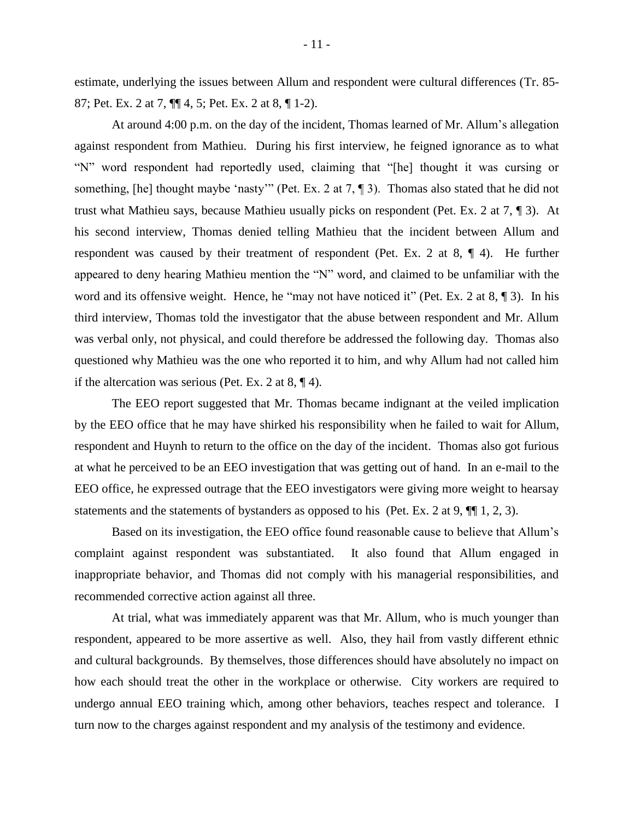estimate, underlying the issues between Allum and respondent were cultural differences (Tr. 85- 87; Pet. Ex. 2 at 7, ¶¶ 4, 5; Pet. Ex. 2 at 8, ¶ 1-2).

At around 4:00 p.m. on the day of the incident, Thomas learned of Mr. Allum's allegation against respondent from Mathieu. During his first interview, he feigned ignorance as to what "N" word respondent had reportedly used, claiming that "[he] thought it was cursing or something, [he] thought maybe 'nasty'" (Pet. Ex. 2 at 7, 1). Thomas also stated that he did not trust what Mathieu says, because Mathieu usually picks on respondent (Pet. Ex. 2 at 7, ¶ 3). At his second interview, Thomas denied telling Mathieu that the incident between Allum and respondent was caused by their treatment of respondent (Pet. Ex. 2 at 8, ¶ 4). He further appeared to deny hearing Mathieu mention the "N" word, and claimed to be unfamiliar with the word and its offensive weight. Hence, he "may not have noticed it" (Pet. Ex. 2 at 8, 1 3). In his third interview, Thomas told the investigator that the abuse between respondent and Mr. Allum was verbal only, not physical, and could therefore be addressed the following day. Thomas also questioned why Mathieu was the one who reported it to him, and why Allum had not called him if the altercation was serious (Pet. Ex. 2 at  $8, \P 4$ ).

The EEO report suggested that Mr. Thomas became indignant at the veiled implication by the EEO office that he may have shirked his responsibility when he failed to wait for Allum, respondent and Huynh to return to the office on the day of the incident. Thomas also got furious at what he perceived to be an EEO investigation that was getting out of hand. In an e-mail to the EEO office, he expressed outrage that the EEO investigators were giving more weight to hearsay statements and the statements of bystanders as opposed to his (Pet. Ex. 2 at 9,  $\P$ [1, 2, 3).

Based on its investigation, the EEO office found reasonable cause to believe that Allum's complaint against respondent was substantiated. It also found that Allum engaged in inappropriate behavior, and Thomas did not comply with his managerial responsibilities, and recommended corrective action against all three.

At trial, what was immediately apparent was that Mr. Allum, who is much younger than respondent, appeared to be more assertive as well. Also, they hail from vastly different ethnic and cultural backgrounds. By themselves, those differences should have absolutely no impact on how each should treat the other in the workplace or otherwise. City workers are required to undergo annual EEO training which, among other behaviors, teaches respect and tolerance. I turn now to the charges against respondent and my analysis of the testimony and evidence.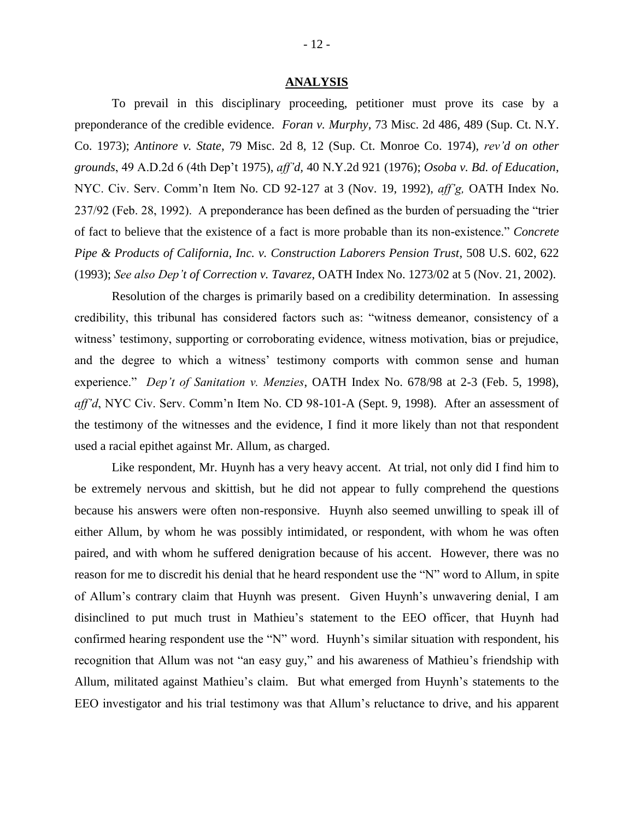#### **ANALYSIS**

To prevail in this disciplinary proceeding, petitioner must prove its case by a preponderance of the credible evidence. *Foran v. Murphy*, 73 Misc. 2d 486, 489 (Sup. Ct. N.Y. Co. 1973); *Antinore v. State*, 79 Misc. 2d 8, 12 (Sup. Ct. Monroe Co. 1974), *rev'd on other grounds*, 49 A.D.2d 6 (4th Dep't 1975), *aff'd,* 40 N.Y.2d 921 (1976); *Osoba v. Bd. of Education*, NYC. Civ. Serv. Comm'n Item No. CD 92-127 at 3 (Nov. 19, 1992), *aff'g,* OATH Index No. 237/92 (Feb. 28, 1992). A preponderance has been defined as the burden of persuading the "trier of fact to believe that the existence of a fact is more probable than its non-existence." *Concrete Pipe & Products of California, Inc. v. Construction Laborers Pension Trust*, 508 U.S. 602, 622 (1993); *See also Dep't of Correction v. Tavarez*, OATH Index No. 1273/02 at 5 (Nov. 21, 2002).

Resolution of the charges is primarily based on a credibility determination. In assessing credibility, this tribunal has considered factors such as: "witness demeanor, consistency of a witness' testimony, supporting or corroborating evidence, witness motivation, bias or prejudice, and the degree to which a witness' testimony comports with common sense and human experience." *Dep't of Sanitation v. Menzies*, OATH Index No. 678/98 at 2-3 (Feb. 5, 1998), *aff'd*, NYC Civ. Serv. Comm'n Item No. CD 98-101-A (Sept. 9, 1998). After an assessment of the testimony of the witnesses and the evidence, I find it more likely than not that respondent used a racial epithet against Mr. Allum, as charged.

Like respondent, Mr. Huynh has a very heavy accent. At trial, not only did I find him to be extremely nervous and skittish, but he did not appear to fully comprehend the questions because his answers were often non-responsive. Huynh also seemed unwilling to speak ill of either Allum, by whom he was possibly intimidated, or respondent, with whom he was often paired, and with whom he suffered denigration because of his accent. However, there was no reason for me to discredit his denial that he heard respondent use the "N" word to Allum, in spite of Allum's contrary claim that Huynh was present. Given Huynh's unwavering denial, I am disinclined to put much trust in Mathieu's statement to the EEO officer, that Huynh had confirmed hearing respondent use the "N" word. Huynh's similar situation with respondent, his recognition that Allum was not "an easy guy," and his awareness of Mathieu's friendship with Allum, militated against Mathieu's claim. But what emerged from Huynh's statements to the EEO investigator and his trial testimony was that Allum's reluctance to drive, and his apparent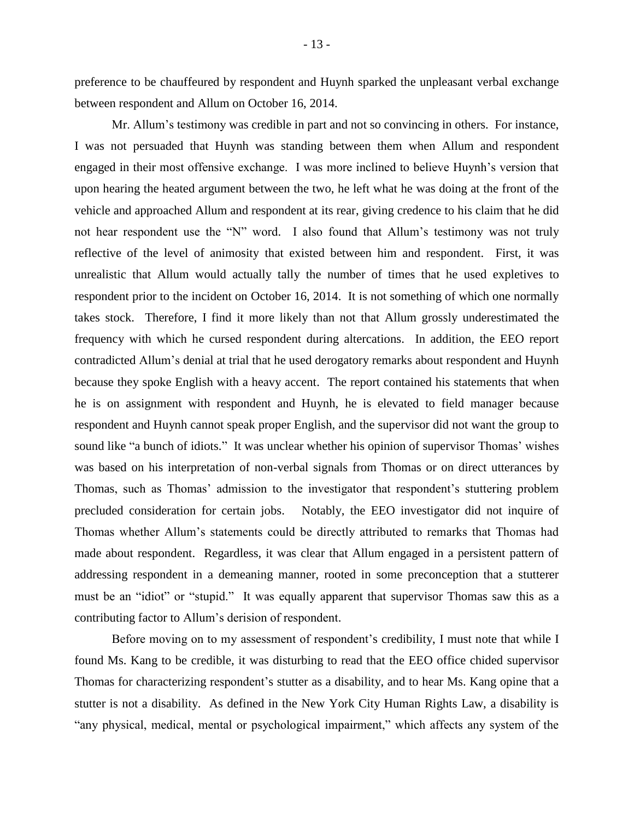preference to be chauffeured by respondent and Huynh sparked the unpleasant verbal exchange between respondent and Allum on October 16, 2014.

Mr. Allum's testimony was credible in part and not so convincing in others. For instance, I was not persuaded that Huynh was standing between them when Allum and respondent engaged in their most offensive exchange. I was more inclined to believe Huynh's version that upon hearing the heated argument between the two, he left what he was doing at the front of the vehicle and approached Allum and respondent at its rear, giving credence to his claim that he did not hear respondent use the "N" word. I also found that Allum's testimony was not truly reflective of the level of animosity that existed between him and respondent. First, it was unrealistic that Allum would actually tally the number of times that he used expletives to respondent prior to the incident on October 16, 2014. It is not something of which one normally takes stock. Therefore, I find it more likely than not that Allum grossly underestimated the frequency with which he cursed respondent during altercations. In addition, the EEO report contradicted Allum's denial at trial that he used derogatory remarks about respondent and Huynh because they spoke English with a heavy accent. The report contained his statements that when he is on assignment with respondent and Huynh, he is elevated to field manager because respondent and Huynh cannot speak proper English, and the supervisor did not want the group to sound like "a bunch of idiots." It was unclear whether his opinion of supervisor Thomas' wishes was based on his interpretation of non-verbal signals from Thomas or on direct utterances by Thomas, such as Thomas' admission to the investigator that respondent's stuttering problem precluded consideration for certain jobs. Notably, the EEO investigator did not inquire of Thomas whether Allum's statements could be directly attributed to remarks that Thomas had made about respondent. Regardless, it was clear that Allum engaged in a persistent pattern of addressing respondent in a demeaning manner, rooted in some preconception that a stutterer must be an "idiot" or "stupid." It was equally apparent that supervisor Thomas saw this as a contributing factor to Allum's derision of respondent.

Before moving on to my assessment of respondent's credibility, I must note that while I found Ms. Kang to be credible, it was disturbing to read that the EEO office chided supervisor Thomas for characterizing respondent's stutter as a disability, and to hear Ms. Kang opine that a stutter is not a disability. As defined in the New York City Human Rights Law, a disability is "any physical, medical, mental or psychological impairment," which affects any system of the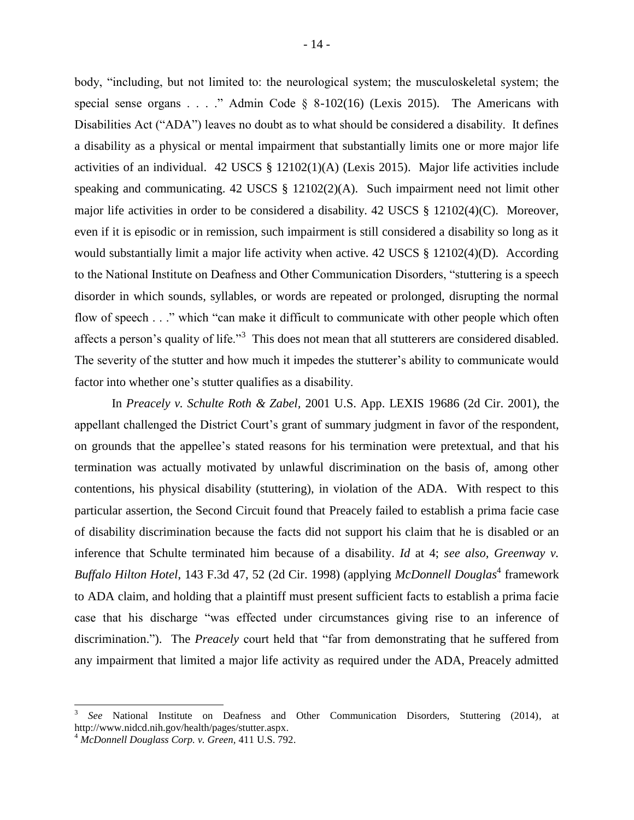body, "including, but not limited to: the neurological system; the musculoskeletal system; the special sense organs . . . ." Admin Code  $\S$  8-102(16) (Lexis 2015). The Americans with Disabilities Act ("ADA") leaves no doubt as to what should be considered a disability. It defines a disability as a physical or mental impairment that substantially limits one or more major life activities of an individual. 42 USCS § 12102(1)(A) (Lexis 2015). Major life activities include speaking and communicating. 42 USCS § 12102(2)(A). Such impairment need not limit other major life activities in order to be considered a disability. 42 USCS § 12102(4)(C). Moreover, even if it is episodic or in remission, such impairment is still considered a disability so long as it would substantially limit a major life activity when active. 42 USCS § 12102(4)(D). According to the National Institute on Deafness and Other Communication Disorders, "stuttering is a speech disorder in which sounds, syllables, or words are repeated or prolonged, disrupting the normal flow of speech . . ." which "can make it difficult to communicate with other people which often affects a person's quality of life."<sup>3</sup> This does not mean that all stutterers are considered disabled. The severity of the stutter and how much it impedes the stutterer's ability to communicate would factor into whether one's stutter qualifies as a disability.

In *Preacely v. Schulte Roth & Zabel,* 2001 U.S. App. LEXIS 19686 (2d Cir. 2001), the appellant challenged the District Court's grant of summary judgment in favor of the respondent, on grounds that the appellee's stated reasons for his termination were pretextual, and that his termination was actually motivated by unlawful discrimination on the basis of, among other contentions, his physical disability (stuttering), in violation of the ADA. With respect to this particular assertion, the Second Circuit found that Preacely failed to establish a prima facie case of disability discrimination because the facts did not support his claim that he is disabled or an inference that Schulte terminated him because of a disability. *Id* at 4; *see also, Greenway v.*  Buffalo Hilton Hotel, 143 F.3d 47, 52 (2d Cir. 1998) (applying *McDonnell Douglas*<sup>4</sup> framework to ADA claim, and holding that a plaintiff must present sufficient facts to establish a prima facie case that his discharge "was effected under circumstances giving rise to an inference of discrimination."). The *Preacely* court held that "far from demonstrating that he suffered from any impairment that limited a major life activity as required under the ADA, Preacely admitted

l

<sup>3</sup> *See* National Institute on Deafness and Other Communication Disorders, Stuttering (2014), at http://www.nidcd.nih.gov/health/pages/stutter.aspx.

<sup>4</sup> *McDonnell Douglass Corp. v. Green,* 411 U.S. 792.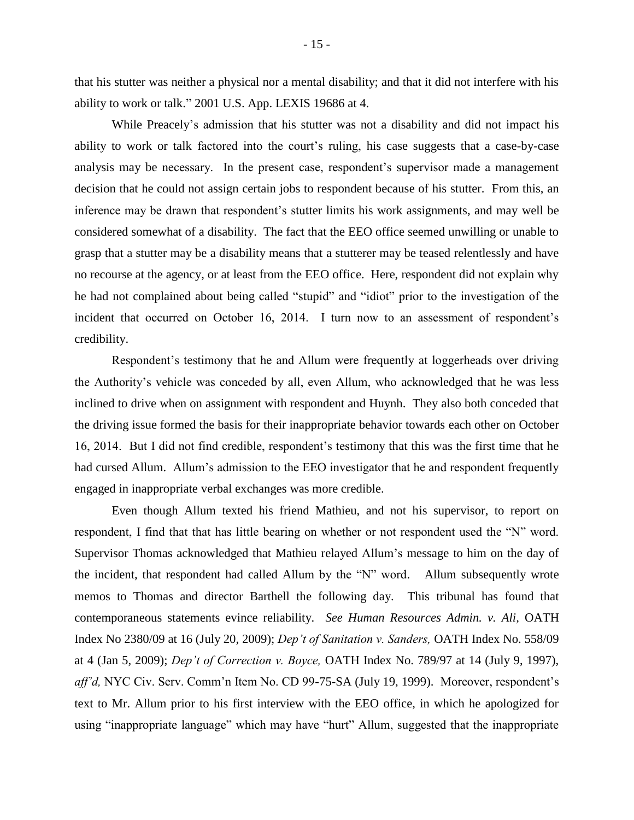that his stutter was neither a physical nor a mental disability; and that it did not interfere with his ability to work or talk." 2001 U.S. App. LEXIS 19686 at 4.

While Preacely's admission that his stutter was not a disability and did not impact his ability to work or talk factored into the court's ruling, his case suggests that a case-by-case analysis may be necessary. In the present case, respondent's supervisor made a management decision that he could not assign certain jobs to respondent because of his stutter. From this, an inference may be drawn that respondent's stutter limits his work assignments, and may well be considered somewhat of a disability. The fact that the EEO office seemed unwilling or unable to grasp that a stutter may be a disability means that a stutterer may be teased relentlessly and have no recourse at the agency, or at least from the EEO office. Here, respondent did not explain why he had not complained about being called "stupid" and "idiot" prior to the investigation of the incident that occurred on October 16, 2014. I turn now to an assessment of respondent's credibility.

Respondent's testimony that he and Allum were frequently at loggerheads over driving the Authority's vehicle was conceded by all, even Allum, who acknowledged that he was less inclined to drive when on assignment with respondent and Huynh. They also both conceded that the driving issue formed the basis for their inappropriate behavior towards each other on October 16, 2014. But I did not find credible, respondent's testimony that this was the first time that he had cursed Allum. Allum's admission to the EEO investigator that he and respondent frequently engaged in inappropriate verbal exchanges was more credible.

Even though Allum texted his friend Mathieu, and not his supervisor, to report on respondent, I find that that has little bearing on whether or not respondent used the "N" word. Supervisor Thomas acknowledged that Mathieu relayed Allum's message to him on the day of the incident, that respondent had called Allum by the "N" word. Allum subsequently wrote memos to Thomas and director Barthell the following day. This tribunal has found that contemporaneous statements evince reliability. *See Human Resources Admin. v. Ali,* OATH Index No 2380/09 at 16 (July 20, 2009); *Dep't of Sanitation v. Sanders,* OATH Index No. 558/09 at 4 (Jan 5, 2009); *Dep't of Correction v. Boyce,* OATH Index No. 789/97 at 14 (July 9, 1997), *aff'd,* NYC Civ. Serv. Comm'n Item No. CD 99-75-SA (July 19, 1999). Moreover, respondent's text to Mr. Allum prior to his first interview with the EEO office, in which he apologized for using "inappropriate language" which may have "hurt" Allum, suggested that the inappropriate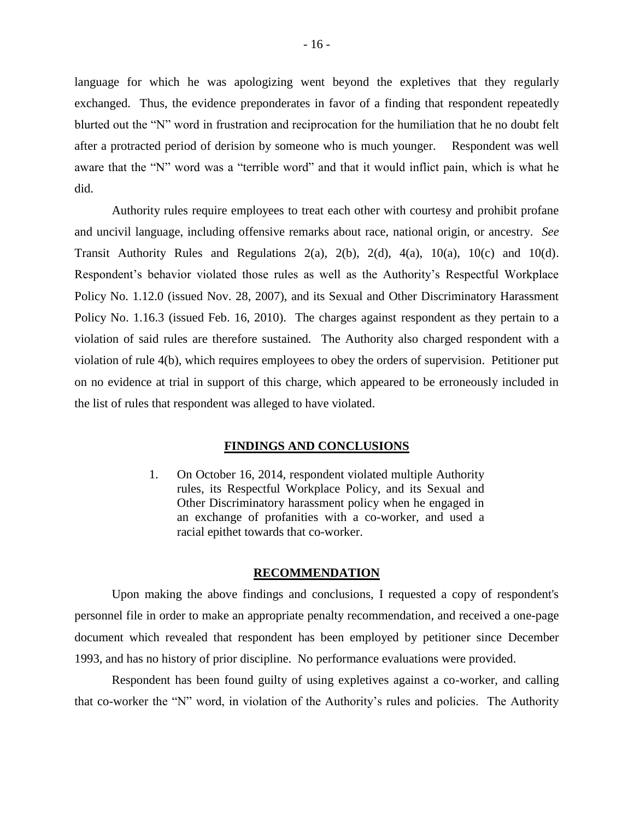language for which he was apologizing went beyond the expletives that they regularly exchanged. Thus, the evidence preponderates in favor of a finding that respondent repeatedly blurted out the "N" word in frustration and reciprocation for the humiliation that he no doubt felt after a protracted period of derision by someone who is much younger. Respondent was well aware that the "N" word was a "terrible word" and that it would inflict pain, which is what he did.

Authority rules require employees to treat each other with courtesy and prohibit profane and uncivil language, including offensive remarks about race, national origin, or ancestry. *See*  Transit Authority Rules and Regulations  $2(a)$ ,  $2(b)$ ,  $2(d)$ ,  $4(a)$ ,  $10(a)$ ,  $10(c)$  and  $10(d)$ . Respondent's behavior violated those rules as well as the Authority's Respectful Workplace Policy No. 1.12.0 (issued Nov. 28, 2007), and its Sexual and Other Discriminatory Harassment Policy No. 1.16.3 (issued Feb. 16, 2010). The charges against respondent as they pertain to a violation of said rules are therefore sustained. The Authority also charged respondent with a violation of rule 4(b), which requires employees to obey the orders of supervision. Petitioner put on no evidence at trial in support of this charge, which appeared to be erroneously included in the list of rules that respondent was alleged to have violated.

#### **FINDINGS AND CONCLUSIONS**

1. On October 16, 2014, respondent violated multiple Authority rules, its Respectful Workplace Policy, and its Sexual and Other Discriminatory harassment policy when he engaged in an exchange of profanities with a co-worker, and used a racial epithet towards that co-worker.

#### **RECOMMENDATION**

Upon making the above findings and conclusions, I requested a copy of respondent's personnel file in order to make an appropriate penalty recommendation, and received a one-page document which revealed that respondent has been employed by petitioner since December 1993, and has no history of prior discipline. No performance evaluations were provided.

Respondent has been found guilty of using expletives against a co-worker, and calling that co-worker the "N" word, in violation of the Authority's rules and policies. The Authority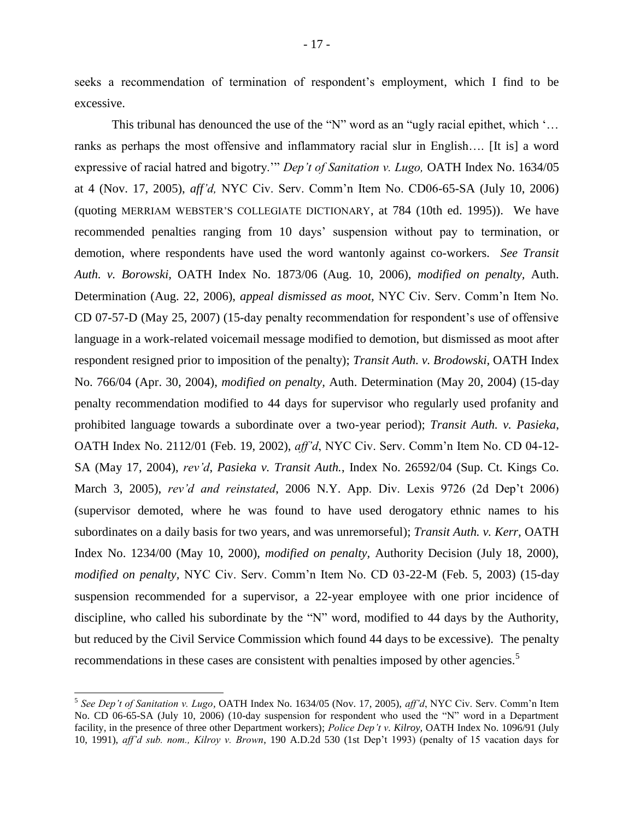seeks a recommendation of termination of respondent's employment, which I find to be excessive.

This tribunal has denounced the use of the "N" word as an "ugly racial epithet, which '... ranks as perhaps the most offensive and inflammatory racial slur in English…. [It is] a word expressive of racial hatred and bigotry.'" *Dep't of Sanitation v. Lugo,* OATH Index No. 1634/05 at 4 (Nov. 17, 2005), *aff'd,* NYC Civ. Serv. Comm'n Item No. CD06-65-SA (July 10, 2006) (quoting MERRIAM WEBSTER'S COLLEGIATE DICTIONARY, at 784 (10th ed. 1995)). We have recommended penalties ranging from 10 days' suspension without pay to termination, or demotion, where respondents have used the word wantonly against co-workers. *See Transit Auth. v. Borowski,* OATH Index No. 1873/06 (Aug. 10, 2006), *modified on penalty,* Auth. Determination (Aug. 22, 2006), *appeal dismissed as moot,* NYC Civ. Serv. Comm'n Item No. CD 07-57-D (May 25, 2007) (15-day penalty recommendation for respondent's use of offensive language in a work-related voicemail message modified to demotion, but dismissed as moot after respondent resigned prior to imposition of the penalty); *Transit Auth. v. Brodowski,* OATH Index No. 766/04 (Apr. 30, 2004), *modified on penalty,* Auth. Determination (May 20, 2004) (15-day penalty recommendation modified to 44 days for supervisor who regularly used profanity and prohibited language towards a subordinate over a two-year period); *Transit Auth. v. Pasieka*, OATH Index No. 2112/01 (Feb. 19, 2002), *aff'd*, NYC Civ. Serv. Comm'n Item No. CD 04-12- SA (May 17, 2004), *rev'd*, *Pasieka v. Transit Auth.*, Index No. 26592/04 (Sup. Ct. Kings Co. March 3, 2005), *rev'd and reinstated*, 2006 N.Y. App. Div. Lexis 9726 (2d Dep't 2006) (supervisor demoted, where he was found to have used derogatory ethnic names to his subordinates on a daily basis for two years, and was unremorseful); *Transit Auth. v. Kerr,* OATH Index No. 1234/00 (May 10, 2000), *modified on penalty,* Authority Decision (July 18, 2000), *modified on penalty,* NYC Civ. Serv. Comm'n Item No. CD 03-22-M (Feb. 5, 2003) (15-day suspension recommended for a supervisor, a 22-year employee with one prior incidence of discipline, who called his subordinate by the "N" word, modified to 44 days by the Authority, but reduced by the Civil Service Commission which found 44 days to be excessive). The penalty recommendations in these cases are consistent with penalties imposed by other agencies.<sup>5</sup>

 $\overline{a}$ 

<sup>5</sup> *See Dep't of Sanitation v. Lugo,* OATH Index No. 1634/05 (Nov. 17, 2005), *aff'd*, NYC Civ. Serv. Comm'n Item No. CD 06-65-SA (July 10, 2006) (10-day suspension for respondent who used the "N" word in a Department facility, in the presence of three other Department workers); *Police Dep't v. Kilroy,* OATH Index No. 1096/91 (July 10, 1991), *aff'd sub. nom., Kilroy v. Brown*, 190 A.D.2d 530 (1st Dep't 1993) (penalty of 15 vacation days for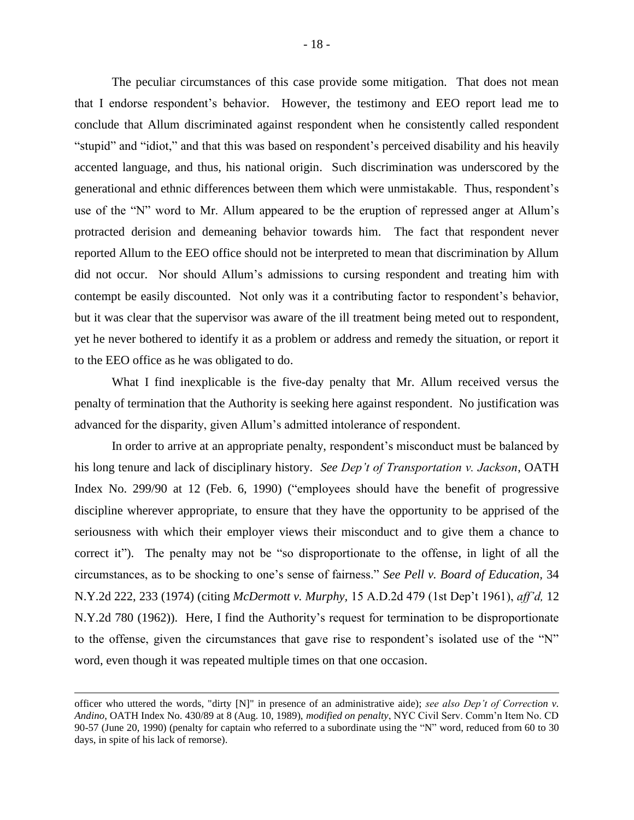The peculiar circumstances of this case provide some mitigation. That does not mean that I endorse respondent's behavior. However, the testimony and EEO report lead me to conclude that Allum discriminated against respondent when he consistently called respondent "stupid" and "idiot," and that this was based on respondent's perceived disability and his heavily accented language, and thus, his national origin. Such discrimination was underscored by the generational and ethnic differences between them which were unmistakable. Thus, respondent's use of the "N" word to Mr. Allum appeared to be the eruption of repressed anger at Allum's protracted derision and demeaning behavior towards him. The fact that respondent never reported Allum to the EEO office should not be interpreted to mean that discrimination by Allum did not occur. Nor should Allum's admissions to cursing respondent and treating him with contempt be easily discounted. Not only was it a contributing factor to respondent's behavior, but it was clear that the supervisor was aware of the ill treatment being meted out to respondent, yet he never bothered to identify it as a problem or address and remedy the situation, or report it to the EEO office as he was obligated to do.

What I find inexplicable is the five-day penalty that Mr. Allum received versus the penalty of termination that the Authority is seeking here against respondent. No justification was advanced for the disparity, given Allum's admitted intolerance of respondent.

In order to arrive at an appropriate penalty, respondent's misconduct must be balanced by his long tenure and lack of disciplinary history. *See Dep't of Transportation v. Jackson*, OATH Index No. 299/90 at 12 (Feb. 6, 1990) ("employees should have the benefit of progressive discipline wherever appropriate, to ensure that they have the opportunity to be apprised of the seriousness with which their employer views their misconduct and to give them a chance to correct it"). The penalty may not be "so disproportionate to the offense, in light of all the circumstances, as to be shocking to one's sense of fairness." *See Pell v. Board of Education,* 34 N.Y.2d 222, 233 (1974) (citing *McDermott v. Murphy,* 15 A.D.2d 479 (1st Dep't 1961), *aff'd,* 12 N.Y.2d 780 (1962)). Here, I find the Authority's request for termination to be disproportionate to the offense, given the circumstances that gave rise to respondent's isolated use of the "N" word, even though it was repeated multiple times on that one occasion.

 $\overline{a}$ 

officer who uttered the words, "dirty [N]" in presence of an administrative aide); *see also Dep't of Correction v. Andino*, OATH Index No. 430/89 at 8 (Aug. 10, 1989), *modified on penalty*, NYC Civil Serv. Comm'n Item No. CD 90-57 (June 20, 1990) (penalty for captain who referred to a subordinate using the "N" word, reduced from 60 to 30 days, in spite of his lack of remorse).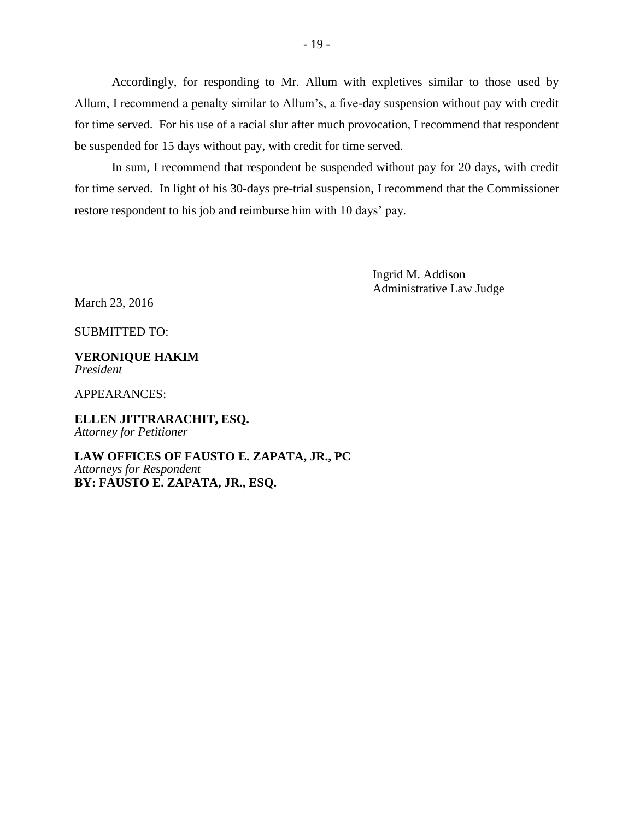Accordingly, for responding to Mr. Allum with expletives similar to those used by Allum, I recommend a penalty similar to Allum's, a five-day suspension without pay with credit for time served. For his use of a racial slur after much provocation, I recommend that respondent be suspended for 15 days without pay, with credit for time served.

In sum, I recommend that respondent be suspended without pay for 20 days, with credit for time served. In light of his 30-days pre-trial suspension, I recommend that the Commissioner restore respondent to his job and reimburse him with 10 days' pay.

> Ingrid M. Addison Administrative Law Judge

March 23, 2016

SUBMITTED TO:

**VERONIQUE HAKIM** *President*

APPEARANCES:

**ELLEN JITTRARACHIT, ESQ.** *Attorney for Petitioner*

**LAW OFFICES OF FAUSTO E. ZAPATA, JR., PC** *Attorneys for Respondent* **BY: FAUSTO E. ZAPATA, JR., ESQ.**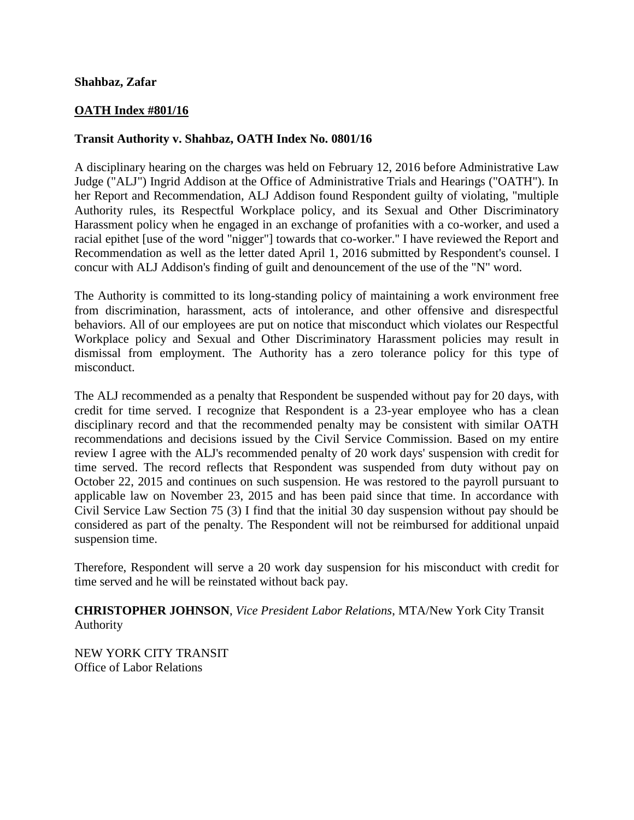### **Shahbaz, Zafar**

# **OATH Index #801/16**

## **Transit Authority v. Shahbaz, OATH Index No. 0801/16**

A disciplinary hearing on the charges was held on February 12, 2016 before Administrative Law Judge ("ALJ") Ingrid Addison at the Office of Administrative Trials and Hearings ("OATH"). In her Report and Recommendation, ALJ Addison found Respondent guilty of violating, "multiple Authority rules, its Respectful Workplace policy, and its Sexual and Other Discriminatory Harassment policy when he engaged in an exchange of profanities with a co-worker, and used a racial epithet [use of the word "nigger"] towards that co-worker.'' I have reviewed the Report and Recommendation as well as the letter dated April 1, 2016 submitted by Respondent's counsel. I concur with ALJ Addison's finding of guilt and denouncement of the use of the "N" word.

The Authority is committed to its long-standing policy of maintaining a work environment free from discrimination, harassment, acts of intolerance, and other offensive and disrespectful behaviors. All of our employees are put on notice that misconduct which violates our Respectful Workplace policy and Sexual and Other Discriminatory Harassment policies may result in dismissal from employment. The Authority has a zero tolerance policy for this type of misconduct.

The ALJ recommended as a penalty that Respondent be suspended without pay for 20 days, with credit for time served. I recognize that Respondent is a 23-year employee who has a clean disciplinary record and that the recommended penalty may be consistent with similar OATH recommendations and decisions issued by the Civil Service Commission. Based on my entire review I agree with the ALJ's recommended penalty of 20 work days' suspension with credit for time served. The record reflects that Respondent was suspended from duty without pay on October 22, 2015 and continues on such suspension. He was restored to the payroll pursuant to applicable law on November 23, 2015 and has been paid since that time. In accordance with Civil Service Law Section 75 (3) I find that the initial 30 day suspension without pay should be considered as part of the penalty. The Respondent will not be reimbursed for additional unpaid suspension time.

Therefore, Respondent will serve a 20 work day suspension for his misconduct with credit for time served and he will be reinstated without back pay.

**CHRISTOPHER JOHNSON**, *Vice President Labor Relations*, MTA/New York City Transit Authority

NEW YORK CITY TRANSIT Office of Labor Relations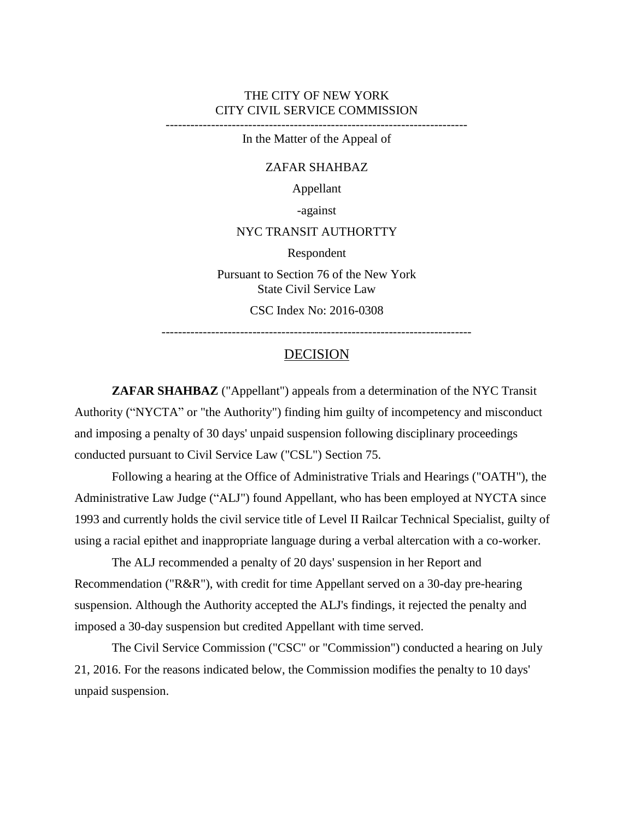### THE CITY OF NEW YORK CITY CIVIL SERVICE COMMISSION

-------------------------------------------------------------------------

In the Matter of the Appeal of

#### ZAFAR SHAHBAZ

Appellant

-against

#### NYC TRANSIT AUTHORTTY

Respondent

Pursuant to Section 76 of the New York State Civil Service Law

CSC Index No: 2016-0308

---------------------------------------------------------------------------

### DECISION

**ZAFAR SHAHBAZ** ("Appellant") appeals from a determination of the NYC Transit Authority ("NYCTA" or "the Authority") finding him guilty of incompetency and misconduct and imposing a penalty of 30 days' unpaid suspension following disciplinary proceedings conducted pursuant to Civil Service Law ("CSL") Section 75.

Following a hearing at the Office of Administrative Trials and Hearings ("OATH"), the Administrative Law Judge ("ALJ") found Appellant, who has been employed at NYCTA since 1993 and currently holds the civil service title of Level II Railcar Technical Specialist, guilty of using a racial epithet and inappropriate language during a verbal altercation with a co-worker.

The ALJ recommended a penalty of 20 days' suspension in her Report and Recommendation ("R&R"), with credit for time Appellant served on a 30-day pre-hearing suspension. Although the Authority accepted the ALJ's findings, it rejected the penalty and imposed a 30-day suspension but credited Appellant with time served.

The Civil Service Commission ("CSC" or "Commission") conducted a hearing on July 21, 2016. For the reasons indicated below, the Commission modifies the penalty to 10 days' unpaid suspension.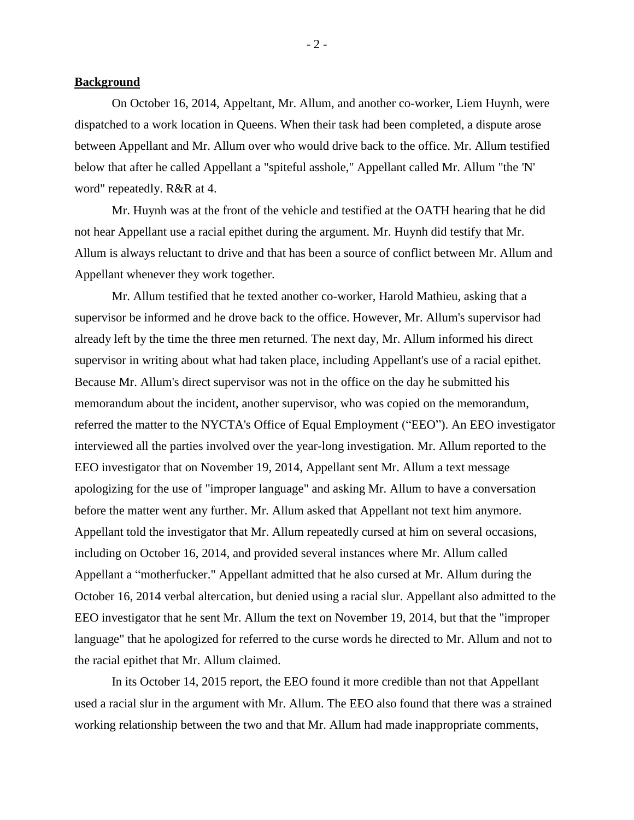### **Background**

On October 16, 2014, Appeltant, Mr. Allum, and another co-worker, Liem Huynh, were dispatched to a work location in Queens. When their task had been completed, a dispute arose between Appellant and Mr. Allum over who would drive back to the office. Mr. Allum testified below that after he called Appellant a "spiteful asshole," Appellant called Mr. Allum "the 'N' word" repeatedly. R&R at 4.

Mr. Huynh was at the front of the vehicle and testified at the OATH hearing that he did not hear Appellant use a racial epithet during the argument. Mr. Huynh did testify that Mr. Allum is always reluctant to drive and that has been a source of conflict between Mr. Allum and Appellant whenever they work together.

Mr. Allum testified that he texted another co-worker, Harold Mathieu, asking that a supervisor be informed and he drove back to the office. However, Mr. Allum's supervisor had already left by the time the three men returned. The next day, Mr. Allum informed his direct supervisor in writing about what had taken place, including Appellant's use of a racial epithet. Because Mr. Allum's direct supervisor was not in the office on the day he submitted his memorandum about the incident, another supervisor, who was copied on the memorandum, referred the matter to the NYCTA's Office of Equal Employment ("EEO"). An EEO investigator interviewed all the parties involved over the year-long investigation. Mr. Allum reported to the EEO investigator that on November 19, 2014, Appellant sent Mr. Allum a text message apologizing for the use of "improper language" and asking Mr. Allum to have a conversation before the matter went any further. Mr. Allum asked that Appellant not text him anymore. Appellant told the investigator that Mr. Allum repeatedly cursed at him on several occasions, including on October 16, 2014, and provided several instances where Mr. Allum called Appellant a "motherfucker." Appellant admitted that he also cursed at Mr. Allum during the October 16, 2014 verbal altercation, but denied using a racial slur. Appellant also admitted to the EEO investigator that he sent Mr. Allum the text on November 19, 2014, but that the "improper language" that he apologized for referred to the curse words he directed to Mr. Allum and not to the racial epithet that Mr. Allum claimed.

In its October 14, 2015 report, the EEO found it more credible than not that Appellant used a racial slur in the argument with Mr. Allum. The EEO also found that there was a strained working relationship between the two and that Mr. Allum had made inappropriate comments,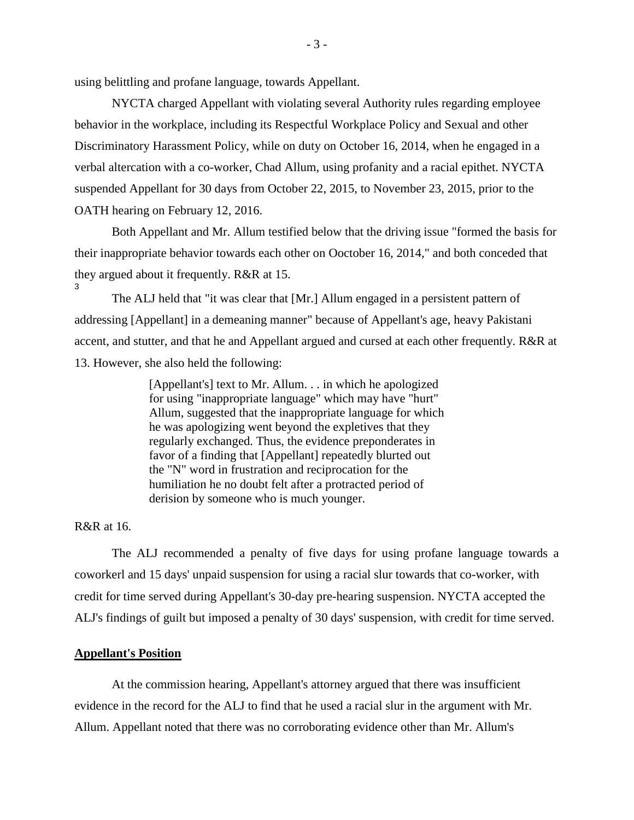using belittling and profane language, towards Appellant.

NYCTA charged Appellant with violating several Authority rules regarding employee behavior in the workplace, including its Respectful Workplace Policy and Sexual and other Discriminatory Harassment Policy, while on duty on October 16, 2014, when he engaged in a verbal altercation with a co-worker, Chad Allum, using profanity and a racial epithet. NYCTA suspended Appellant for 30 days from October 22, 2015, to November 23, 2015, prior to the OATH hearing on February 12, 2016.

Both Appellant and Mr. Allum testified below that the driving issue "formed the basis for their inappropriate behavior towards each other on Ooctober 16, 2014," and both conceded that they argued about it frequently. R&R at 15. 3

The ALJ held that "it was clear that [Mr.] Allum engaged in a persistent pattern of addressing [Appellant] in a demeaning manner" because of Appellant's age, heavy Pakistani accent, and stutter, and that he and Appellant argued and cursed at each other frequently. R&R at 13. However, she also held the following:

> [Appellant's] text to Mr. Allum. . . in which he apologized for using "inappropriate language" which may have "hurt" Allum, suggested that the inappropriate language for which he was apologizing went beyond the expletives that they regularly exchanged. Thus, the evidence preponderates in favor of a finding that [Appellant] repeatedly blurted out the "N" word in frustration and reciprocation for the humiliation he no doubt felt after a protracted period of derision by someone who is much younger.

# R&R at 16.

The ALJ recommended a penalty of five days for using profane language towards a coworkerl and 15 days' unpaid suspension for using a racial slur towards that co-worker, with credit for time served during Appellant's 30-day pre-hearing suspension. NYCTA accepted the ALJ's findings of guilt but imposed a penalty of 30 days' suspension, with credit for time served.

### **Appellant's Position**

At the commission hearing, Appellant's attorney argued that there was insufficient evidence in the record for the ALJ to find that he used a racial slur in the argument with Mr. Allum. Appellant noted that there was no corroborating evidence other than Mr. Allum's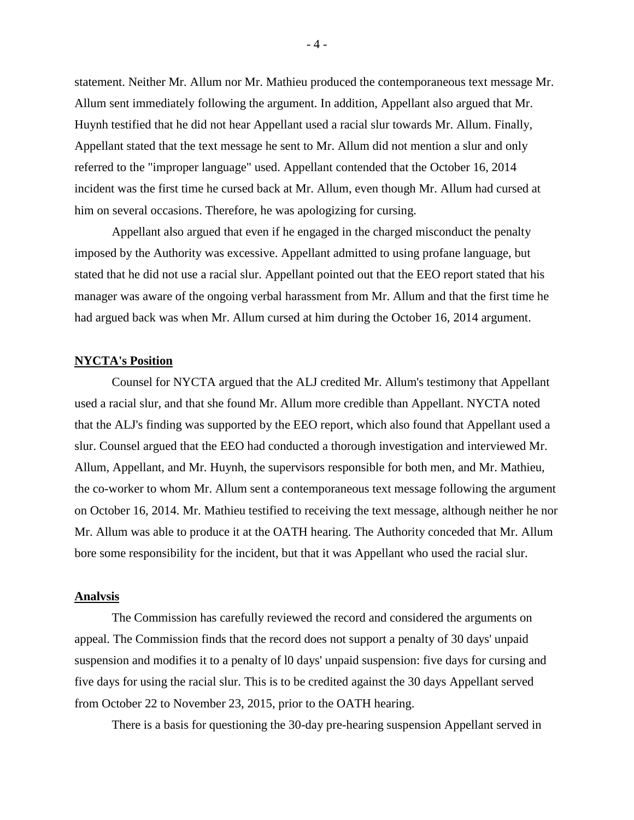statement. Neither Mr. Allum nor Mr. Mathieu produced the contemporaneous text message Mr. Allum sent immediately following the argument. In addition, Appellant also argued that Mr. Huynh testified that he did not hear Appellant used a racial slur towards Mr. Allum. Finally, Appellant stated that the text message he sent to Mr. Allum did not mention a slur and only referred to the "improper language" used. Appellant contended that the October 16, 2014 incident was the first time he cursed back at Mr. Allum, even though Mr. Allum had cursed at him on several occasions. Therefore, he was apologizing for cursing.

Appellant also argued that even if he engaged in the charged misconduct the penalty imposed by the Authority was excessive. Appellant admitted to using profane language, but stated that he did not use a racial slur. Appellant pointed out that the EEO report stated that his manager was aware of the ongoing verbal harassment from Mr. Allum and that the first time he had argued back was when Mr. Allum cursed at him during the October 16, 2014 argument.

### **NYCTA's Position**

Counsel for NYCTA argued that the ALJ credited Mr. Allum's testimony that Appellant used a racial slur, and that she found Mr. Allum more credible than Appellant. NYCTA noted that the ALJ's finding was supported by the EEO report, which also found that Appellant used a slur. Counsel argued that the EEO had conducted a thorough investigation and interviewed Mr. Allum, Appellant, and Mr. Huynh, the supervisors responsible for both men, and Mr. Mathieu, the co-worker to whom Mr. Allum sent a contemporaneous text message following the argument on October 16, 2014. Mr. Mathieu testified to receiving the text message, although neither he nor Mr. Allum was able to produce it at the OATH hearing. The Authority conceded that Mr. Allum bore some responsibility for the incident, but that it was Appellant who used the racial slur.

#### **Analvsis**

The Commission has carefully reviewed the record and considered the arguments on appeal. The Commission finds that the record does not support a penalty of 30 days' unpaid suspension and modifies it to a penalty of l0 days' unpaid suspension: five days for cursing and five days for using the racial slur. This is to be credited against the 30 days Appellant served from October 22 to November 23, 2015, prior to the OATH hearing.

There is a basis for questioning the 30-day pre-hearing suspension Appellant served in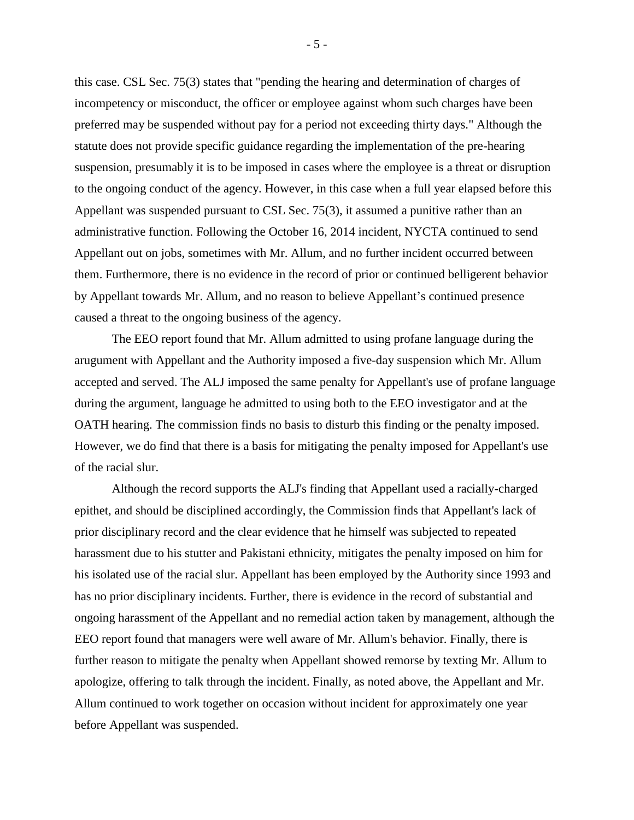this case. CSL Sec. 75(3) states that "pending the hearing and determination of charges of incompetency or misconduct, the officer or employee against whom such charges have been preferred may be suspended without pay for a period not exceeding thirty days." Although the statute does not provide specific guidance regarding the implementation of the pre-hearing suspension, presumably it is to be imposed in cases where the employee is a threat or disruption to the ongoing conduct of the agency. However, in this case when a full year elapsed before this Appellant was suspended pursuant to CSL Sec. 75(3), it assumed a punitive rather than an administrative function. Following the October 16, 2014 incident, NYCTA continued to send Appellant out on jobs, sometimes with Mr. Allum, and no further incident occurred between them. Furthermore, there is no evidence in the record of prior or continued belligerent behavior by Appellant towards Mr. Allum, and no reason to believe Appellant's continued presence caused a threat to the ongoing business of the agency.

The EEO report found that Mr. Allum admitted to using profane language during the arugument with Appellant and the Authority imposed a five-day suspension which Mr. Allum accepted and served. The ALJ imposed the same penalty for Appellant's use of profane language during the argument, language he admitted to using both to the EEO investigator and at the OATH hearing. The commission finds no basis to disturb this finding or the penalty imposed. However, we do find that there is a basis for mitigating the penalty imposed for Appellant's use of the racial slur.

Although the record supports the ALJ's finding that Appellant used a racially-charged epithet, and should be disciplined accordingly, the Commission finds that Appellant's lack of prior disciplinary record and the clear evidence that he himself was subjected to repeated harassment due to his stutter and Pakistani ethnicity, mitigates the penalty imposed on him for his isolated use of the racial slur. Appellant has been employed by the Authority since 1993 and has no prior disciplinary incidents. Further, there is evidence in the record of substantial and ongoing harassment of the Appellant and no remedial action taken by management, although the EEO report found that managers were well aware of Mr. Allum's behavior. Finally, there is further reason to mitigate the penalty when Appellant showed remorse by texting Mr. Allum to apologize, offering to talk through the incident. Finally, as noted above, the Appellant and Mr. Allum continued to work together on occasion without incident for approximately one year before Appellant was suspended.

- 5 -